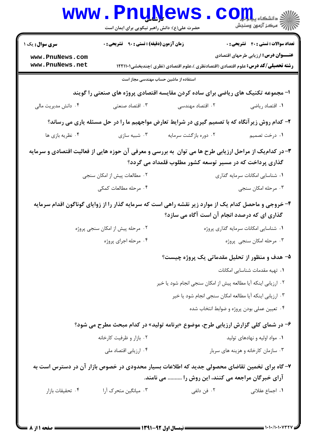|                                    | <b>WWW.PnuNews</b><br>حضرت علی(ع): دانش راهبر نیکویی برای ایمان است |                                                                                                                                                      | الاد دانشکاه پیام ایران<br>الا دانشکاه پیامون وسنجش |
|------------------------------------|---------------------------------------------------------------------|------------------------------------------------------------------------------------------------------------------------------------------------------|-----------------------------------------------------|
| <b>سری سوال :</b> یک ۱             | <b>زمان آزمون (دقیقه) : تستی : ۹۰ تشریحی : 0</b>                    |                                                                                                                                                      | <b>تعداد سوالات : تستي : 40 - تشريحي : 0</b>        |
| www.PnuNews.com<br>www.PnuNews.net |                                                                     | <b>رشته تحصیلی/کد درس:</b> علوم اقتصادی (اقتصادنظری )،علوم اقتصادی (نظری )چندبخشی1۲۲۱۱۰۱                                                             | <b>عنـــوان درس:</b> ارزیابی طرحهای اقتصادی         |
|                                    |                                                                     | استفاده از ماشین حساب مهندسی مجاز است                                                                                                                |                                                     |
|                                    |                                                                     | ا- مجموعه تکنیک های ریاضی برای ساده کردن مقایسه اقتصادی پروژه های صنعتی را گویند                                                                     |                                                     |
| ۰۴ دانش مدیریت مالی                | ۰۳ اقتصاد صنعتی                                                     | ۰۲ اقتصاد مهندسی                                                                                                                                     | ۰۱ اقتصاد رياضي                                     |
|                                    |                                                                     | ۲- کدام روش زیرآنگاه که با تصمیم گیری در شرایط تعارض مواجهیم ما را در حل مسئله یاری می رساند؟                                                        |                                                     |
| ۰۴ نظریه بازی ها                   | ۰۳ شبیه سازی                                                        | ۰۲ دوره بازگشت سرمایه                                                                                                                                | ۰۱ درخت تصمیم                                       |
|                                    |                                                                     | ۳- در کدام یک از مراحل ارزیابی طرح ها می توان ً به بررسی و معرفی آن حوزه هایی از فعالیت اقتصادی و سرمایه                                             |                                                     |
|                                    |                                                                     | گذاری پرداخت که در مسیر توسعه کشور مطلوب قلمداد می گردد؟                                                                                             |                                                     |
|                                    | ۰۲ مطالعات پیش از امکان سنجی                                        |                                                                                                                                                      | ۰۱ شناسایی امکانات سرمایه گذاری                     |
|                                    | ۰۴ مرحله مطالعات کمکی                                               |                                                                                                                                                      | ۰۳ مرحله امکان سنجي                                 |
|                                    |                                                                     | ۴- خروجی و ماحصل کدام یک از موارد زیر نقشه راهی است که سرمایه گذار را از زوایای گوناگون اقدام سرمایه<br>گذاری ای که درصدد انجام آن است آگاه می سازد؟ |                                                     |
|                                    | ۰۲ مرحله پیش از امکان سنجی پروژه                                    |                                                                                                                                                      | ٠١ شناسايي امكانات سرمايه گذارى پروژه               |
|                                    | ۰۴ مرحله اجرای پروژه                                                |                                                                                                                                                      | ۰۳ مرحله امکان سنجی پروژه                           |
|                                    |                                                                     | ۵- هدف و منظور از تحلیل مقدماتی یک پروژه چیست؟                                                                                                       |                                                     |
|                                    |                                                                     |                                                                                                                                                      | ٠١ تهيه مقدمات شناسايي امكانات                      |
|                                    |                                                                     | ٢. ارزيابي اينكه آيا مطالعه پيش از امكان سنجي انجام شود يا خير                                                                                       |                                                     |
|                                    |                                                                     | ۰۳ ارزیابی اینکه آیا مطالعه امکان سنجی انجام شود یا خیر                                                                                              |                                                     |
|                                    |                                                                     |                                                                                                                                                      | ۰۴ تعیین عملی بودن پروژه و ضوابط انتخاب شده         |
|                                    |                                                                     | ۶- در شمای کلی گزارش ارزیابی طرح، موضوع «برنامه تولید» در کدام مبحث مطرح می شود؟                                                                     |                                                     |
|                                    | ۰۲ بازار و ظرفیت کارخانه                                            |                                                                                                                                                      | ۰۱ مواد اولیه و نهادهای تولید                       |
|                                    | ۰۴ ارزیابی اقتصاد ملی                                               |                                                                                                                                                      | ۰۳ سازمان کارخانه و هزینه های سربار                 |
|                                    |                                                                     | ۷- گاه برای تخمین تقاضای محصولی جدید که اطلاعات بسیار محدودی در خصوص بازار آن در دسترس است به<br>آرای خبرگان مراجعه می کنند، این روش را  می نامند.   |                                                     |
| ۰۴ تحقیقات بازار                   | ۰۳ میانگین متحرک آرا                                                | ۰۲ فن دلفی                                                                                                                                           | ۰۱ اجماع عقلانی                                     |
|                                    |                                                                     |                                                                                                                                                      |                                                     |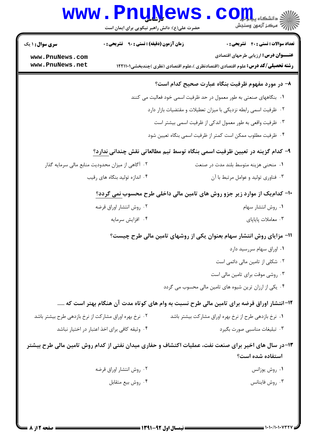|                                                                                  | www.PnuNews<br>حضرت علی(ع): دانش راهبر نیکویی برای ایمان است |  | الی دانشکاه پیابانی<br>اراد سکن آزمون وسنجش                                                                                             |  |
|----------------------------------------------------------------------------------|--------------------------------------------------------------|--|-----------------------------------------------------------------------------------------------------------------------------------------|--|
| <b>سری سوال : ۱ یک</b>                                                           | <b>زمان آزمون (دقیقه) : تستی : ۹۰ قشریحی : .</b>             |  | <b>تعداد سوالات : تستي : 40 ٪ تشريحي : 0</b>                                                                                            |  |
| www.PnuNews.com<br>www.PnuNews.net                                               |                                                              |  | <b>عنـــوان درس:</b> ارزیابی طرحهای اقتصادی<br><b>رشته تحصیلی/کد درس:</b> علوم اقتصادی (اقتصادنظری )،علوم اقتصادی (نظری )چندبخشی1۲۲۱۱۰۱ |  |
|                                                                                  |                                                              |  | ٨− در مورد مفهوم ظرفیت بنگاه عبارت صحیح کدام است؟                                                                                       |  |
|                                                                                  |                                                              |  | ١. بنگاههای صنعتی به طور معمول در حد ظرفیت اسمی خود فعالیت می کنند                                                                      |  |
|                                                                                  |                                                              |  | ۰۲ ظرفیت اسمی رابطه نزدیکی با میزان تعطیلات و مقتضیات بازار دارد                                                                        |  |
|                                                                                  |                                                              |  | ۰۳ ظرفیت واقعی به طور معمول اندکی از ظرفیت اسمی بیشتر است                                                                               |  |
|                                                                                  |                                                              |  | ۰۴ ظرفیت مطلوب ممکن است کمتر از ظرفیت اسمی بنگاه تعیین شود                                                                              |  |
|                                                                                  |                                                              |  | ۹– کدام گزینه در تعیین ظرفیت اسمی بنگاه توسط تیم مطالعاتی نقش چندانی ندارد؟                                                             |  |
|                                                                                  | ۰۲ آگاهی از میزان محدودیت منابع مالی سرمایه گذار             |  | ۰۱ منحنی هزینه متوسط بلند مدت در صنعت                                                                                                   |  |
|                                                                                  | ۰۴ اندازه تولید بنگاه های رقیب                               |  | ۰۳ فناوری تولید و عوامل مرتبط با آن                                                                                                     |  |
| +1- کدام یک از موارد زیر جزو روش های تامین مالی داخلی طرح محسوب <u>نمی</u> گردد؟ |                                                              |  |                                                                                                                                         |  |
|                                                                                  | ۰۲ روش انتشار اوراق قرضه                                     |  | ۰۱ روش انتشار سهام                                                                                                                      |  |
|                                                                                  | ۰۴ افزايش سرمايه                                             |  | ۰۳ معاملات پایاپای                                                                                                                      |  |
|                                                                                  |                                                              |  | 11- مزایای روش انتشار سهام بعنوان یکی از روشهای تامین مالی طرح چیست؟                                                                    |  |
|                                                                                  |                                                              |  | ٠١ اوراق سهام سررسيد دارد                                                                                                               |  |
|                                                                                  |                                                              |  | ۰۲ شکلی از تامین مالی دائمی است                                                                                                         |  |
|                                                                                  |                                                              |  | ۰۳ روشی موقت برای تامین مالی است                                                                                                        |  |
|                                                                                  |                                                              |  | ۰۴ یکی از ارزان ترین شیوه های تامین مالی محسوب می گردد                                                                                  |  |
|                                                                                  |                                                              |  | ۱۲- انتشار اوراق قرضه برای تامین مالی طرح نسبت به وام های کوتاه مدت آن هنگام بهتر است که                                                |  |
| ۰۲ نرخ بهره اوراق مشاركت از نرخ بازدهی طرح بیشتر باشد                            |                                                              |  | ۰۱ نرخ بازدهی طرح از نرخ بهره اوراق مشارکت بیشتر باشد                                                                                   |  |
|                                                                                  | ۰۴ وثيقه كافي براي اخذ اعتبار در اختيار نباشد                |  | ۰۳ تبلیغات مناسبی صورت بگیرد                                                                                                            |  |
|                                                                                  |                                                              |  | ۱۳-در سال های اخیر برای صنعت نفت، عملیات اکتشاف و حفاری میدان نفتی از کدام روش تامین مالی طرح بیشتر<br>استفاده شده است؟                 |  |
|                                                                                  | ۰۲ روش انتشار اوراق قرضه                                     |  | ٠١ روش يوزانس                                                                                                                           |  |
|                                                                                  | ۰۴ روش بيع متقابل                                            |  | ۰۳ روش فاينانس                                                                                                                          |  |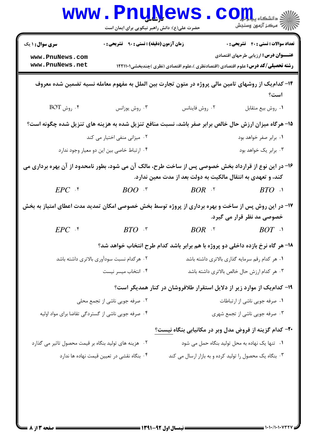|                                                                                                       | <b>www . Pnu<u>n</u>ews</b><br>حضرت علی(ع): دانش راهبر نیکویی برای ایمان است |                                                                                                      | و دانشگاه پ <b>یا با بار</b><br><i>إل<sup>7</sup> مرڪ</i> ز آزمون وسنڊش                   |
|-------------------------------------------------------------------------------------------------------|------------------------------------------------------------------------------|------------------------------------------------------------------------------------------------------|-------------------------------------------------------------------------------------------|
| <b>سری سوال : ۱ یک</b><br>www.PnuNews.com                                                             | زمان آزمون (دقیقه) : تستی : ۹۰٪ تشریحی : ۰                                   |                                                                                                      | <b>تعداد سوالات : تستی : 40 قشریحی : 0</b><br><b>عنـــوان درس:</b> ارزیابی طرحهای اقتصادی |
| www.PnuNews.net                                                                                       |                                                                              | <b>رشته تحصیلی/کد درس:</b> علوم اقتصادی (اقتصادنظری )،علوم اقتصادی (نظری )چندبخشی1۲۲۱۱۰۱             |                                                                                           |
|                                                                                                       |                                                                              | ۱۴– کدام یک از روشهای تامین مالی پروژه در متون تجارت بین الملل به مفهوم معامله نسیه تضمین شده معروف  | است؟                                                                                      |
| $\rm{BOT}$ ، روش $\cdot$                                                                              | ۰۳ روش یوزانس                                                                | ۰۲ روش فاينانس                                                                                       | ٠١ روش بيع متقابل                                                                         |
|                                                                                                       |                                                                              | ۱۵- هرگاه میزان ارزش حال خالص برابر صفر باشد، نسبت منافع تنزیل شده به هزینه های تنزیل شده چگونه است؟ |                                                                                           |
|                                                                                                       | ۰۲ میزانی منفی اختیار می کند                                                 |                                                                                                      | ۰۱ برابر صفر خواهد بود                                                                    |
|                                                                                                       | ۰۴ ارتباط خاصی بین این دو معیار وجود ندارد                                   |                                                                                                      | ۰۳ برابر یک خواهد بود                                                                     |
| ۱۶- در این نوع از قرارداد بخش خصوصی پس از ساخت طرح، مالک آن می شود، بطور نامحدود از آن بهره برداری می |                                                                              | کند، و تعهدی به انتقال مالکیت به دولت بعد از مدت معین ندارد.                                         |                                                                                           |
| $EPC$ .*                                                                                              | $BOO^{-15}$                                                                  | $BOR$ . T                                                                                            | $BTO$ .                                                                                   |
| ۱۷– در این روش پس از ساخت و بهره برداری از پروژه توسط بخش خصوصی امکان تمدید مدت اعطای امتیاز به بخش   |                                                                              |                                                                                                      | خصوصی مد نظر قرار می گیرد.                                                                |
| $EPC$ $\cdot$                                                                                         | $BTO$ *                                                                      | $BOR$ . T                                                                                            | $BOT$ .                                                                                   |
|                                                                                                       |                                                                              | ۱۸- هر گاه نرخ بازده داخلی دو پروژه با هم برابر باشد کدام طرح انتخاب خواهد شد؟                       |                                                                                           |
|                                                                                                       | ۰۲ هرکدام نسبت سودآوری بالاتری داشته باشد                                    |                                                                                                      | ٠١ هر كدام رقم سرمايه گذاري بالاتري داشته باشد                                            |
|                                                                                                       | ۰۴ انتخاب ميسر نيست                                                          |                                                                                                      | ۰۳ هر کدام ارزش حال خالص بالاتری داشته باشد                                               |
|                                                                                                       |                                                                              | ۱۹- کدام یک از موارد زیر از دلایل استقرار طلافروشان در کنار همدیگر است؟                              |                                                                                           |
|                                                                                                       | ۰۲ صرفه جویی ناشی از تجمع محلی                                               |                                                                                                      | ٠١ صرفه جويي ناشي از ارتباطات                                                             |
| ۰۴ صرفه جویی ناشی از گستردگی تقاضا برای مواد اولیه                                                    |                                                                              |                                                                                                      | ۰۳ صرفه جویی ناشی از تجمع شهری                                                            |
|                                                                                                       |                                                                              | ۲۰– کدام گزینه از فروض مدل وبر در مکانیابی بنگاه نیست؟                                               |                                                                                           |
| ۰۲ هزینه های تولید بنگاه بر قیمت محصول تاثیر می گذارد                                                 |                                                                              |                                                                                                      | ۰۱ تنها یک نهاده به محل تولید بنگاه حمل می شود                                            |
|                                                                                                       | ۰۴ بنگاه نقشی در تعیین قیمت نهاده ها ندارد                                   | ۰۳ بنگاه یک محصول را تولید کرده و به بازار ارسال می کند                                              |                                                                                           |
|                                                                                                       |                                                                              |                                                                                                      |                                                                                           |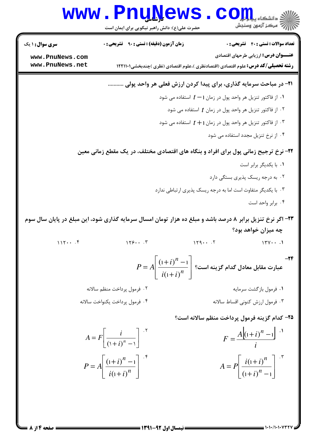|                                    | www.PnuNews<br>حضرت علی(ع): دانش راهبر نیکویی برای ایمان است                                               | الله دانشکاه پیابانی<br>الله مرکز آنههن وسنجش                                                                                           |
|------------------------------------|------------------------------------------------------------------------------------------------------------|-----------------------------------------------------------------------------------------------------------------------------------------|
| <b>سری سوال : ۱ یک</b>             | <b>زمان آزمون (دقیقه) : تستی : ۹۰٪ تشریحی : 0</b>                                                          | <b>تعداد سوالات : تستی : 40 - تشریحی : 0</b>                                                                                            |
| www.PnuNews.com<br>www.PnuNews.net |                                                                                                            | <b>عنـــوان درس:</b> ارزیابی طرحهای اقتصادی<br><b>رشته تحصیلی/کد درس:</b> علوم اقتصادی (اقتصادنظری )،علوم اقتصادی (نظری )چندبخشی1۲۲۱۱۰۱ |
|                                    |                                                                                                            | ۲۱- در مباحث سرمایه گذاری، برای پیدا کردن ارزش فعلی هر واحد پولی                                                                        |
|                                    |                                                                                                            | ۰۱ از فاکتور تنزیل هر واحد پول در زمان ۱ $t-1$ استفاده می شود $\cdot$                                                                   |
|                                    |                                                                                                            | ۰۲ از فاکتور تنزیل هر واحد پول در زمان $t$ استفاده می شود                                                                               |
|                                    |                                                                                                            | ا از فاکتور تنزیل هر واحد پول در زمان ۱ $t+1$ استفاده می شود $\cdot$                                                                    |
|                                    |                                                                                                            | ۰۴ از نرخ تنزیل مجدد استفاده می شود                                                                                                     |
|                                    | ۲۲- نرخ ترجیح زمانی پول برای افراد و بنگاه های اقتصادی مختلف، در یک مقطع زمانی معین                        |                                                                                                                                         |
|                                    |                                                                                                            | ٠١. با يكديگر برابر است                                                                                                                 |
|                                    |                                                                                                            | ۰۲ به درجه ریسک پذیری بستگی دارد                                                                                                        |
|                                    |                                                                                                            | ۰۳ با یکدیگر متفاوت است اما به درجه ریسک پذیری ارتباطی ندارد                                                                            |
|                                    |                                                                                                            | ۰۴ برابر واحد است                                                                                                                       |
|                                    | ۲۳- اگر نرخ تنزیل برابر ۸ درصد باشد و مبلغ ده هزار تومان امسال سرمایه گذاری شود، این مبلغ در پایان سال سوم |                                                                                                                                         |
|                                    |                                                                                                            | چه میزان خواهد بود؟                                                                                                                     |
|                                    | $\mathbf{v} \in \mathbb{R}^n$                                                                              |                                                                                                                                         |
|                                    |                                                                                                            | $P = A \bigg \frac{{{{\left( {1 + i} \right)}^n} - 1}}{{i{{\left( {1 + i} \right)}^n}}}\bigg $ عبارت مقابل معادل گدام گزینه است؟        |
|                                    | ۰۲ فرمول پرداخت منظم سالانه                                                                                | ۰۱ فرمول بازگشت سرمایه                                                                                                                  |
|                                    | ۰۴ فرمول پرداخت يكنواخت سالانه                                                                             | ۰۳ فرمول ارزش کنونی اقساط سالانه                                                                                                        |
|                                    |                                                                                                            | 7۵- کدام گزینه فرمول پرداخت منظم سالانه است؟                                                                                            |
|                                    | $A = F \left  \frac{i}{\left(1 + i\right)^n - 1} \right ^{-1}$                                             | $F = \frac{A[(1+i)^n - 1]}{2}$                                                                                                          |
|                                    | $P = A \left  \frac{(1+i)^n - 1}{i(1+i)^n} \right $                                                        | $A = P \left  \frac{i(1+i)^n}{(1+i)^n - 1} \right $                                                                                     |

**: صفحه 4 از 8 =**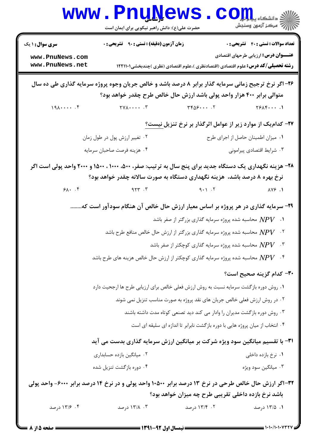|                                                                                 | <b>www.PnuNews</b><br>حضرت علی(ع): دانش راهبر نیکویی برای ایمان است                                                                                                            |                                                                                          | $\mathbf{C}\mathbf{O}\mathbf{H}$ و دانشڪاء پ<br>الإرآد مركز آزمون وسنجش |  |  |
|---------------------------------------------------------------------------------|--------------------------------------------------------------------------------------------------------------------------------------------------------------------------------|------------------------------------------------------------------------------------------|-------------------------------------------------------------------------|--|--|
| <b>سری سوال :</b> ۱ یک                                                          | <b>زمان آزمون (دقیقه) : تستی : ۹۰٪ تشریحی : 0</b>                                                                                                                              |                                                                                          | <b>تعداد سوالات : تستی : 40 قشریحی : 0</b>                              |  |  |
| www.PnuNews.com<br>www.PnuNews.net                                              |                                                                                                                                                                                | <b>رشته تحصیلی/کد درس:</b> علوم اقتصادی (اقتصادنظری )،علوم اقتصادی (نظری )چندبخشی1۲۲۱۱۰۱ | <b>عنـــوان درس:</b> ارزیابی طرحهای اقتصادی                             |  |  |
|                                                                                 | ۲۶- اگر نرخ ترجیح زمانی سرمایه گذار برابر ۸ درصد باشد و خالص جریان وجوه پروژه سرمایه گذاری طی ده سال<br>متوالی برابر ۴۰۰ هزار واحد پولی باشد ارزش حال خالص طرح چقدر خواهد بود؟ |                                                                                          |                                                                         |  |  |
| 1917                                                                            |                                                                                                                                                                                |                                                                                          |                                                                         |  |  |
|                                                                                 |                                                                                                                                                                                | ۲۷- کدام یک از موارد زیر از عوامل اثرگذار بر نرخ تنزیل نیست؟                             |                                                                         |  |  |
|                                                                                 | ۰۲ تغییر ارزش پول در طول زمان                                                                                                                                                  |                                                                                          | ٠١ ميزان اطمينان حاصل از اجراي طرح                                      |  |  |
|                                                                                 | ۰۴ هزينه فرصت صاحبان سرمايه                                                                                                                                                    |                                                                                          | ۰۳ شرایط اقتصادی پیرامونی                                               |  |  |
|                                                                                 | ۲۸- هزینه نگهداری یک دستگاه جدید برای پنج سال به ترتیب: صفر، ۵۰۰، ۱۰۰۰ ، ۱۵۰۰ و ۲۰۰۰ واحد پولی است اگر                                                                         |                                                                                          |                                                                         |  |  |
|                                                                                 | نرخ بهره ۸ درصد باشد، هزینه نگهداری دستگاه به صورت سالانه چقدر خواهد بود؟                                                                                                      |                                                                                          |                                                                         |  |  |
| 91.49                                                                           | $\begin{array}{ccc} 9.1 & 1 & 1 \end{array}$ $\begin{array}{ccc} 1 & 1 & 1 \end{array}$                                                                                        |                                                                                          |                                                                         |  |  |
| ۲۹- سرمایه گذاری در هر پروژه بر اساس معیار ارزش حال خالص آن هنگام سودآور است که |                                                                                                                                                                                |                                                                                          |                                                                         |  |  |
|                                                                                 |                                                                                                                                                                                | $NPV$ محاسبه شده پروژه سرمایه گذاری بزرگتر از صفر باشد $NPV$                             |                                                                         |  |  |
|                                                                                 | ۰۲ $NPV$ محاسبه شده پروژه سرمایه گذاری بزرگتر از ارزش حال خالص منافع طرح باشد $\,NPV$                                                                                          |                                                                                          |                                                                         |  |  |
|                                                                                 |                                                                                                                                                                                | ۰۳ محاسبه شده پروژه سرمایه گذاری کوچکتر از صفر باشد $N\!P V$                             |                                                                         |  |  |
|                                                                                 | ۰۴ $NPV$ محاسبه شده پروژه سرمایه گذاری کوچکتر از ارزش حال خالص هزینه های طرح باشد $N\!P$                                                                                       |                                                                                          |                                                                         |  |  |
|                                                                                 |                                                                                                                                                                                |                                                                                          | ۳۰– کدام گزینه صحیح است؟                                                |  |  |
|                                                                                 | ٠١ روش دوره بازگشت سرمايه نسبت به روش ارزش فعلي خالص براي ارزيابي طرح ها ارجحيت دارد                                                                                           |                                                                                          |                                                                         |  |  |
|                                                                                 |                                                                                                                                                                                | ۰۲ در روش ارزش فعلی خالص جریان های نقد پروژه به صورت مناسب تنزیل نمی شوند                |                                                                         |  |  |
|                                                                                 |                                                                                                                                                                                | ۰۳ روش دوره بازگشت مدیران را وادار می کند دید تصنعی کوتاه مدت داشته باشند                |                                                                         |  |  |
|                                                                                 |                                                                                                                                                                                | ۰۴ انتخاب از میان پروژه هایی با دوره بازگشت نابرابر تا اندازه ای سلیقه ای است            |                                                                         |  |  |
|                                                                                 | 31- با تقسیم میانگین سود ویژه شرکت بر میانگین ارزش سرمایه گذاری بدست می آید                                                                                                    |                                                                                          |                                                                         |  |  |
|                                                                                 | ۰۲ میانگین بازده حسابداری                                                                                                                                                      |                                                                                          | ۰۱ نرخ بازده داخلی                                                      |  |  |
|                                                                                 | ۰۴ دوره بازگشت تنزیل شده                                                                                                                                                       |                                                                                          | ۰۳ میانگین سود ویژه                                                     |  |  |
|                                                                                 | ۳۲-اگر ارزش حال خالص طرحی در نرخ ۱۳ درصد برابر ۱۰۵۰۰ واحد پولی و در نرخ ۱۴ درصد برابر ۶۰۰۰- واحد پولی                                                                          |                                                                                          |                                                                         |  |  |
|                                                                                 |                                                                                                                                                                                | باشد نرخ بازده داخلی تقریبی طرح چه میزان خواهد بود؟                                      |                                                                         |  |  |
| ۰۴ ۱۳/۶ درصد                                                                    | ۰۳ ـ ۱۳/۸ درصد                                                                                                                                                                 | ۰۲ ۱۳/۴ درصد                                                                             | ۰۱ ۱۳/۵ درصد                                                            |  |  |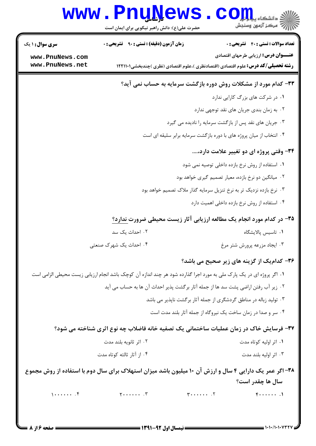## Www.PnuNews.com

| <b>سری سوال : ۱ یک</b>             | <b>زمان آزمون (دقیقه) : تستی : ۹۰ تشریحی : 0</b>                                                                      |                                                                                          | <b>تعداد سوالات : تستي : 40 ٪ تشريحي : 0</b> |
|------------------------------------|-----------------------------------------------------------------------------------------------------------------------|------------------------------------------------------------------------------------------|----------------------------------------------|
| www.PnuNews.com<br>www.PnuNews.net |                                                                                                                       | <b>رشته تحصیلی/کد درس:</b> علوم اقتصادی (اقتصادنظری )،علوم اقتصادی (نظری )چندبخشی1۲۲۱۱۰۱ | <b>عنـــوان درس:</b> ارزیابی طرحهای اقتصادی  |
|                                    |                                                                                                                       | ۳۳- کدام مورد از مشکلات روش دوره بازگشت سرمایه به حساب نمی آید؟                          |                                              |
|                                    |                                                                                                                       |                                                                                          | ٠١ در شركت هاى بزرگ كارايى ندارد             |
|                                    |                                                                                                                       | ۰۲ به زمان بندی جریان های نقد توجهی ندارد                                                |                                              |
|                                    |                                                                                                                       | ۰۳ جریان های نقد پس از بازگشت سرمایه را نادیده می گیرد                                   |                                              |
|                                    |                                                                                                                       | ۰۴ انتخاب از میان پروژه های با دوره بازگشت سرمایه برابر سلیقه ای است                     |                                              |
|                                    |                                                                                                                       |                                                                                          | ۳۴- وقتی پروژه ای دو تغییر علامت دارد،       |
|                                    |                                                                                                                       | ۰۱ استفاده از روش نرخ بازده داخلی توصیه نمی شود                                          |                                              |
|                                    |                                                                                                                       | ۰۲ میانگین دو نرخ بازده، معیار تصمیم گیری خواهد بود                                      |                                              |
|                                    |                                                                                                                       | ۰۳ نرخ بازده نزدیک تر به نرخ تنزیل سرمایه گذار ملاک تصمیم خواهد بود                      |                                              |
|                                    |                                                                                                                       | ۰۴ استفاده از روش نرخ بازده داخلی اهمیت دارد                                             |                                              |
|                                    |                                                                                                                       | ۳۵- در کدام مورد انجام یک مطالعه ارزیابی آثار زیست محیطی ضرورت ندارد؟                    |                                              |
|                                    | ۰۲ احداث یک سد                                                                                                        |                                                                                          | ۰۱ تاسیس پالایشگاه                           |
|                                    | ۴. احداث یک شهرک صنعتی                                                                                                |                                                                                          | ۰۳ ایجاد مزرعه پرورش شتر مرغ                 |
|                                    |                                                                                                                       | ۳۶- کدام یک از گزینه های زیر صحیح می باشد؟                                               |                                              |
|                                    | ۰۱ اگر پروژه ای در یک پارک ملی به مورد اجرا گذارده شود هر چند اندازه آن کوچک باشد انجام ارزیابی زیست محیطی الزامی است |                                                                                          |                                              |
|                                    | ٠٢ زير آب رفتن اراضي پشت سد ها از جمله آثار برگشت پذير احداث آن ها به حساب مي آيد                                     |                                                                                          |                                              |
|                                    |                                                                                                                       | ۰۳ تولید زباله در مناطق گردشگری از جمله آثار برگشت ناپذیر می باشد                        |                                              |
|                                    |                                                                                                                       | ۰۴ سر و صدا در زمان ساخت یک نیروگاه از جمله آثار بلند مدت است                            |                                              |
|                                    | ۳۷- فرسایش خاک در زمان عملیات ساختمانی یک تصفیه خانه فاضلاب چه نوع اثری شناخته می شود؟                                |                                                                                          |                                              |
|                                    | ۰۲ اثر ثانویه بلند مدت                                                                                                |                                                                                          | ۰۱ اثر اولیه کوتاه مدت                       |
|                                    | ۰۴ از آثار ثالثه کوتاه مدت                                                                                            |                                                                                          | ۰۳ اثر اوليه بلند مدت                        |
|                                    | ۳۸- اگر عمر یک دارایی ۴ سال و ارزش آن ۱۰ میلیون باشد میزان استهلاک برای سال دوم با استفاده از روش مجموع               |                                                                                          |                                              |
|                                    |                                                                                                                       |                                                                                          | سال ها چقدر است؟                             |
| $1 \cdots \cdots$                  | $\gamma$ $\Upsilon$                                                                                                   | $Y \cdot \cdot \cdot \cdot \cdot \cdot \cdot Y$                                          | $F$                                          |
|                                    |                                                                                                                       |                                                                                          |                                              |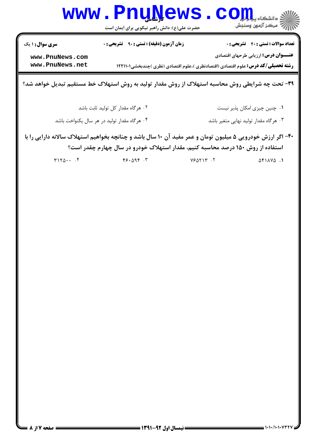| <b>WWW</b>                         | ک رشاسی<br>حضرت علی(ع): دانش راهبر نیکویی برای ایمان است                                                                                                                                      |         | د دانشگاه پ <b>یاج تی</b><br>أآه مركز آزمون وسنجش                                           |
|------------------------------------|-----------------------------------------------------------------------------------------------------------------------------------------------------------------------------------------------|---------|---------------------------------------------------------------------------------------------|
| سری سوال : ۱ یک<br>www.PnuNews.com | <b>زمان آزمون (دقیقه) : تستی : ۹۰ قشریحی : 0</b>                                                                                                                                              |         | <b>تعداد سوالات : تستي : 40 - تشريحي : 0</b><br><b>عنـــوان درس:</b> ارزیابی طرحهای اقتصادی |
| www.PnuNews.net                    | <b>رشته تحصیلی/کد درس:</b> علوم اقتصادی (اقتصادنظری )،علوم اقتصادی (نظری )چندبخشی12211 ۱۲                                                                                                     |         |                                                                                             |
|                                    | ۳۹- تحت چه شرایطی روش محاسبه استهلاک از روش مقدار تولید به روش استهلاک خط مستقیم تبدیل خواهد شد؟                                                                                              |         |                                                                                             |
|                                    | ٠٢ هرگاه مقدار كل توليد ثابت باشد                                                                                                                                                             |         | ۰۱ چنین چیزی امکان پذیر نیست                                                                |
|                                    | ۰۴ هرگاه مقدار تولید در هر سال یکنواخت باشد                                                                                                                                                   |         | ۰۳ هرگاه مقدار تولید نهایی متغیر باشد                                                       |
|                                    | ۴۰- اگر ارزش خودرویی ۵ میلیون تومان و عمر مفید آن ۱۰ سال باشد و چنانچه بخواهیم استهلاک سالانه دارایی را با<br>استفاده از روش ۱۵۰ درصد محاسبه کنیم، مقدار استهلاک خودرو در سال چهارم چقدر است؟ |         |                                                                                             |
| T170                               | $F5.09F$ .                                                                                                                                                                                    | Y5AYY.7 | $\Delta f$ $\Delta V\Delta$ .                                                               |
|                                    |                                                                                                                                                                                               |         |                                                                                             |
|                                    |                                                                                                                                                                                               |         |                                                                                             |
|                                    |                                                                                                                                                                                               |         |                                                                                             |
|                                    |                                                                                                                                                                                               |         |                                                                                             |
|                                    |                                                                                                                                                                                               |         |                                                                                             |
|                                    |                                                                                                                                                                                               |         |                                                                                             |
|                                    |                                                                                                                                                                                               |         |                                                                                             |
|                                    |                                                                                                                                                                                               |         |                                                                                             |
|                                    |                                                                                                                                                                                               |         |                                                                                             |
|                                    |                                                                                                                                                                                               |         |                                                                                             |
|                                    |                                                                                                                                                                                               |         |                                                                                             |
|                                    |                                                                                                                                                                                               |         |                                                                                             |
|                                    |                                                                                                                                                                                               |         |                                                                                             |
|                                    |                                                                                                                                                                                               |         |                                                                                             |
|                                    |                                                                                                                                                                                               |         |                                                                                             |
|                                    |                                                                                                                                                                                               |         |                                                                                             |
|                                    |                                                                                                                                                                                               |         |                                                                                             |

 $\mathbf{A} = \mathbf{A}^T$ 

П

 $\overline{\phantom{a}}$  . We also

 $1880 +$ 

 $= 1.1$   $(1.1.1.047)$